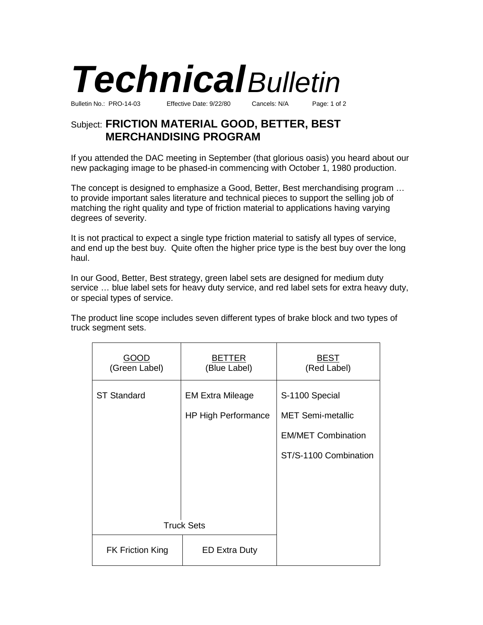

Subject: **FRICTION MATERIAL GOOD, BETTER, BEST MERCHANDISING PROGRAM**

If you attended the DAC meeting in September (that glorious oasis) you heard about our new packaging image to be phased-in commencing with October 1, 1980 production.

The concept is designed to emphasize a Good, Better, Best merchandising program … to provide important sales literature and technical pieces to support the selling job of matching the right quality and type of friction material to applications having varying degrees of severity.

It is not practical to expect a single type friction material to satisfy all types of service, and end up the best buy. Quite often the higher price type is the best buy over the long haul.

In our Good, Better, Best strategy, green label sets are designed for medium duty service … blue label sets for heavy duty service, and red label sets for extra heavy duty, or special types of service.

The product line scope includes seven different types of brake block and two types of truck segment sets.

| GOOD<br>(Green Label)   | <b>BETTER</b><br>(Blue Label) | <b>BEST</b><br>(Red Label) |
|-------------------------|-------------------------------|----------------------------|
| <b>ST Standard</b>      | <b>EM Extra Mileage</b>       | S-1100 Special             |
|                         | <b>HP High Performance</b>    | <b>MET Semi-metallic</b>   |
|                         |                               | <b>EM/MET Combination</b>  |
|                         |                               | ST/S-1100 Combination      |
|                         |                               |                            |
|                         |                               |                            |
|                         |                               |                            |
| <b>Truck Sets</b>       |                               |                            |
| <b>FK Friction King</b> | <b>ED Extra Duty</b>          |                            |